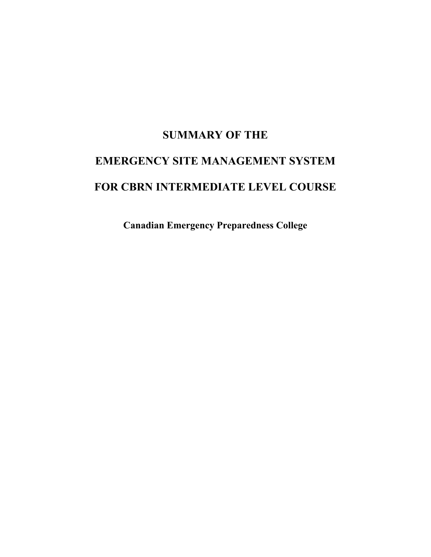# **SUMMARY OF THE EMERGENCY SITE MANAGEMENT SYSTEM**

# **FOR CBRN INTERMEDIATE LEVEL COURSE**

**Canadian Emergency Preparedness College**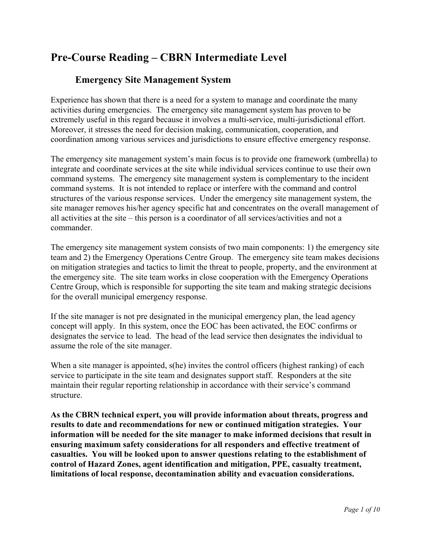# **Pre-Course Reading – CBRN Intermediate Level**

## **Emergency Site Management System**

Experience has shown that there is a need for a system to manage and coordinate the many activities during emergencies. The emergency site management system has proven to be extremely useful in this regard because it involves a multi-service, multi-jurisdictional effort. Moreover, it stresses the need for decision making, communication, cooperation, and coordination among various services and jurisdictions to ensure effective emergency response.

The emergency site management system's main focus is to provide one framework (umbrella) to integrate and coordinate services at the site while individual services continue to use their own command systems. The emergency site management system is complementary to the incident command systems. It is not intended to replace or interfere with the command and control structures of the various response services. Under the emergency site management system, the site manager removes his/her agency specific hat and concentrates on the overall management of all activities at the site – this person is a coordinator of all services/activities and not a commander.

The emergency site management system consists of two main components: 1) the emergency site team and 2) the Emergency Operations Centre Group. The emergency site team makes decisions on mitigation strategies and tactics to limit the threat to people, property, and the environment at the emergency site. The site team works in close cooperation with the Emergency Operations Centre Group, which is responsible for supporting the site team and making strategic decisions for the overall municipal emergency response.

If the site manager is not pre designated in the municipal emergency plan, the lead agency concept will apply. In this system, once the EOC has been activated, the EOC confirms or designates the service to lead. The head of the lead service then designates the individual to assume the role of the site manager.

When a site manager is appointed, s(he) invites the control officers (highest ranking) of each service to participate in the site team and designates support staff. Responders at the site maintain their regular reporting relationship in accordance with their service's command structure.

**As the CBRN technical expert, you will provide information about threats, progress and results to date and recommendations for new or continued mitigation strategies. Your information will be needed for the site manager to make informed decisions that result in ensuring maximum safety considerations for all responders and effective treatment of casualties. You will be looked upon to answer questions relating to the establishment of control of Hazard Zones, agent identification and mitigation, PPE, casualty treatment, limitations of local response, decontamination ability and evacuation considerations.**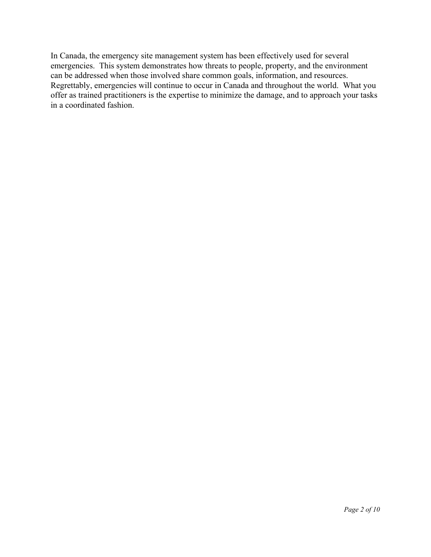In Canada, the emergency site management system has been effectively used for several emergencies. This system demonstrates how threats to people, property, and the environment can be addressed when those involved share common goals, information, and resources. Regrettably, emergencies will continue to occur in Canada and throughout the world. What you offer as trained practitioners is the expertise to minimize the damage, and to approach your tasks in a coordinated fashion.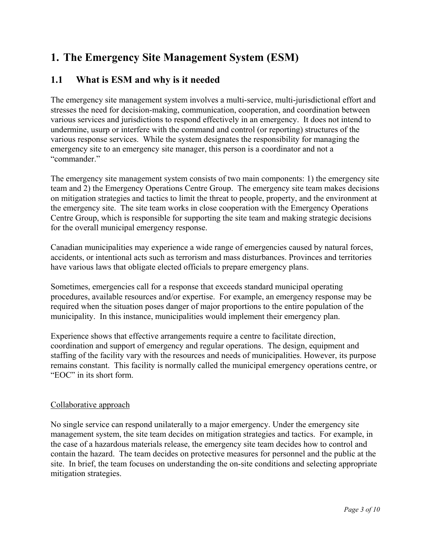# **1. The Emergency Site Management System (ESM)**

## **1.1 What is ESM and why is it needed**

The emergency site management system involves a multi-service, multi-jurisdictional effort and stresses the need for decision-making, communication, cooperation, and coordination between various services and jurisdictions to respond effectively in an emergency. It does not intend to undermine, usurp or interfere with the command and control (or reporting) structures of the various response services. While the system designates the responsibility for managing the emergency site to an emergency site manager, this person is a coordinator and not a "commander."

The emergency site management system consists of two main components: 1) the emergency site team and 2) the Emergency Operations Centre Group. The emergency site team makes decisions on mitigation strategies and tactics to limit the threat to people, property, and the environment at the emergency site. The site team works in close cooperation with the Emergency Operations Centre Group, which is responsible for supporting the site team and making strategic decisions for the overall municipal emergency response.

Canadian municipalities may experience a wide range of emergencies caused by natural forces, accidents, or intentional acts such as terrorism and mass disturbances. Provinces and territories have various laws that obligate elected officials to prepare emergency plans.

Sometimes, emergencies call for a response that exceeds standard municipal operating procedures, available resources and/or expertise. For example, an emergency response may be required when the situation poses danger of major proportions to the entire population of the municipality. In this instance, municipalities would implement their emergency plan.

Experience shows that effective arrangements require a centre to facilitate direction, coordination and support of emergency and regular operations. The design, equipment and staffing of the facility vary with the resources and needs of municipalities. However, its purpose remains constant. This facility is normally called the municipal emergency operations centre, or "EOC" in its short form.

#### Collaborative approach

No single service can respond unilaterally to a major emergency. Under the emergency site management system, the site team decides on mitigation strategies and tactics. For example, in the case of a hazardous materials release, the emergency site team decides how to control and contain the hazard. The team decides on protective measures for personnel and the public at the site. In brief, the team focuses on understanding the on-site conditions and selecting appropriate mitigation strategies.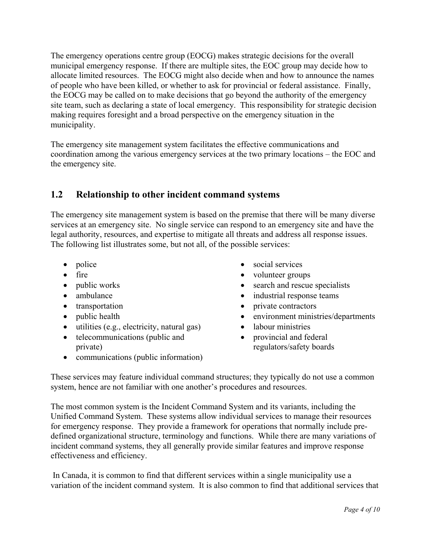The emergency operations centre group (EOCG) makes strategic decisions for the overall municipal emergency response. If there are multiple sites, the EOC group may decide how to allocate limited resources. The EOCG might also decide when and how to announce the names of people who have been killed, or whether to ask for provincial or federal assistance. Finally, the EOCG may be called on to make decisions that go beyond the authority of the emergency site team, such as declaring a state of local emergency. This responsibility for strategic decision making requires foresight and a broad perspective on the emergency situation in the municipality.

The emergency site management system facilitates the effective communications and coordination among the various emergency services at the two primary locations – the EOC and the emergency site.

## **1.2 Relationship to other incident command systems**

The emergency site management system is based on the premise that there will be many diverse services at an emergency site. No single service can respond to an emergency site and have the legal authority, resources, and expertise to mitigate all threats and address all response issues. The following list illustrates some, but not all, of the possible services:

- police
- fire
- public works
- ambulance
- transportation
- public health
- utilities (e.g., electricity, natural gas)
- telecommunications (public and private)
- communications (public information)
- social services
- volunteer groups
- search and rescue specialists
- industrial response teams
- private contractors
- environment ministries/departments
- labour ministries
- provincial and federal regulators/safety boards

These services may feature individual command structures; they typically do not use a common system, hence are not familiar with one another's procedures and resources.

The most common system is the Incident Command System and its variants, including the Unified Command System. These systems allow individual services to manage their resources for emergency response. They provide a framework for operations that normally include predefined organizational structure, terminology and functions. While there are many variations of incident command systems, they all generally provide similar features and improve response effectiveness and efficiency.

 In Canada, it is common to find that different services within a single municipality use a variation of the incident command system. It is also common to find that additional services that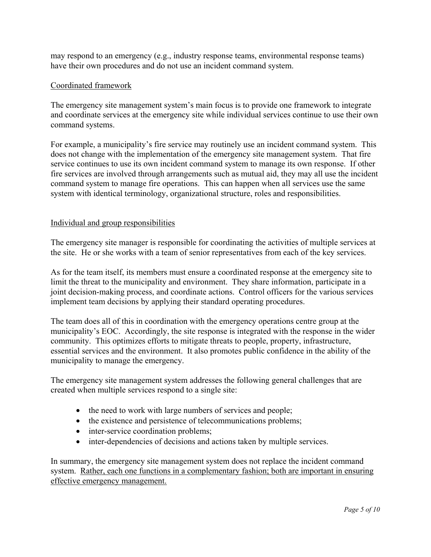may respond to an emergency (e.g., industry response teams, environmental response teams) have their own procedures and do not use an incident command system.

#### Coordinated framework

The emergency site management system's main focus is to provide one framework to integrate and coordinate services at the emergency site while individual services continue to use their own command systems.

For example, a municipality's fire service may routinely use an incident command system. This does not change with the implementation of the emergency site management system. That fire service continues to use its own incident command system to manage its own response. If other fire services are involved through arrangements such as mutual aid, they may all use the incident command system to manage fire operations. This can happen when all services use the same system with identical terminology, organizational structure, roles and responsibilities.

#### Individual and group responsibilities

The emergency site manager is responsible for coordinating the activities of multiple services at the site. He or she works with a team of senior representatives from each of the key services.

As for the team itself, its members must ensure a coordinated response at the emergency site to limit the threat to the municipality and environment. They share information, participate in a joint decision-making process, and coordinate actions. Control officers for the various services implement team decisions by applying their standard operating procedures.

The team does all of this in coordination with the emergency operations centre group at the municipality's EOC. Accordingly, the site response is integrated with the response in the wider community. This optimizes efforts to mitigate threats to people, property, infrastructure, essential services and the environment. It also promotes public confidence in the ability of the municipality to manage the emergency.

The emergency site management system addresses the following general challenges that are created when multiple services respond to a single site:

- the need to work with large numbers of services and people;
- the existence and persistence of telecommunications problems;
- inter-service coordination problems;
- inter-dependencies of decisions and actions taken by multiple services.

In summary, the emergency site management system does not replace the incident command system. Rather, each one functions in a complementary fashion; both are important in ensuring effective emergency management.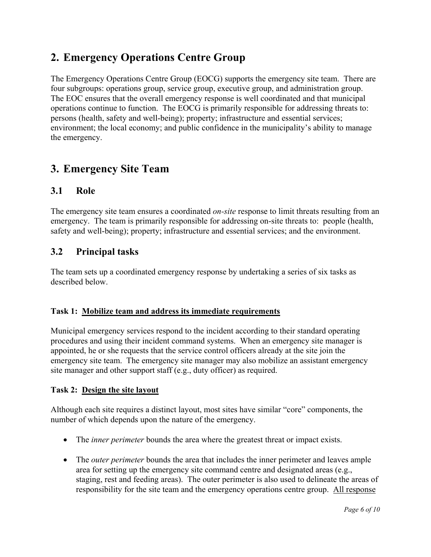# **2. Emergency Operations Centre Group**

The Emergency Operations Centre Group (EOCG) supports the emergency site team. There are four subgroups: operations group, service group, executive group, and administration group. The EOC ensures that the overall emergency response is well coordinated and that municipal operations continue to function. The EOCG is primarily responsible for addressing threats to: persons (health, safety and well-being); property; infrastructure and essential services; environment; the local economy; and public confidence in the municipality's ability to manage the emergency.

## **3. Emergency Site Team**

### **3.1 Role**

The emergency site team ensures a coordinated *on-site* response to limit threats resulting from an emergency. The team is primarily responsible for addressing on-site threats to: people (health, safety and well-being); property; infrastructure and essential services; and the environment.

## **3.2 Principal tasks**

The team sets up a coordinated emergency response by undertaking a series of six tasks as described below.

#### **Task 1: Mobilize team and address its immediate requirements**

Municipal emergency services respond to the incident according to their standard operating procedures and using their incident command systems. When an emergency site manager is appointed, he or she requests that the service control officers already at the site join the emergency site team. The emergency site manager may also mobilize an assistant emergency site manager and other support staff (e.g., duty officer) as required.

#### **Task 2: Design the site layout**

Although each site requires a distinct layout, most sites have similar "core" components, the number of which depends upon the nature of the emergency.

- The *inner perimeter* bounds the area where the greatest threat or impact exists.
- The *outer perimeter* bounds the area that includes the inner perimeter and leaves ample area for setting up the emergency site command centre and designated areas (e.g., staging, rest and feeding areas). The outer perimeter is also used to delineate the areas of responsibility for the site team and the emergency operations centre group. All response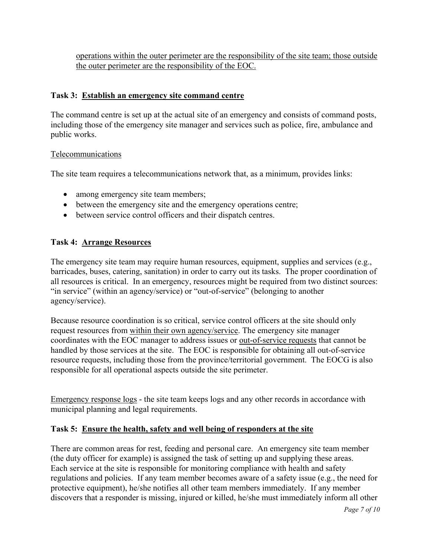operations within the outer perimeter are the responsibility of the site team; those outside the outer perimeter are the responsibility of the EOC.

#### **Task 3: Establish an emergency site command centre**

The command centre is set up at the actual site of an emergency and consists of command posts, including those of the emergency site manager and services such as police, fire, ambulance and public works.

#### Telecommunications

The site team requires a telecommunications network that, as a minimum, provides links:

- among emergency site team members;
- between the emergency site and the emergency operations centre;
- between service control officers and their dispatch centres.

#### **Task 4: Arrange Resources**

The emergency site team may require human resources, equipment, supplies and services (e.g., barricades, buses, catering, sanitation) in order to carry out its tasks. The proper coordination of all resources is critical. In an emergency, resources might be required from two distinct sources: "in service" (within an agency/service) or "out-of-service" (belonging to another agency/service).

Because resource coordination is so critical, service control officers at the site should only request resources from within their own agency/service. The emergency site manager coordinates with the EOC manager to address issues or out-of-service requests that cannot be handled by those services at the site. The EOC is responsible for obtaining all out-of-service resource requests, including those from the province/territorial government. The EOCG is also responsible for all operational aspects outside the site perimeter.

Emergency response logs - the site team keeps logs and any other records in accordance with municipal planning and legal requirements.

#### **Task 5: Ensure the health, safety and well being of responders at the site**

There are common areas for rest, feeding and personal care. An emergency site team member (the duty officer for example) is assigned the task of setting up and supplying these areas. Each service at the site is responsible for monitoring compliance with health and safety regulations and policies. If any team member becomes aware of a safety issue (e.g., the need for protective equipment), he/she notifies all other team members immediately. If any member discovers that a responder is missing, injured or killed, he/she must immediately inform all other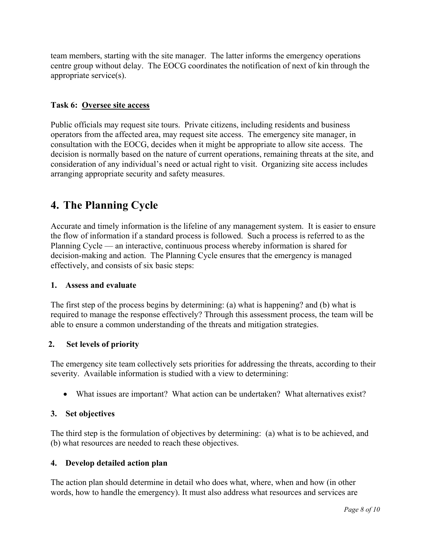team members, starting with the site manager. The latter informs the emergency operations centre group without delay. The EOCG coordinates the notification of next of kin through the appropriate service(s).

#### **Task 6: Oversee site access**

Public officials may request site tours. Private citizens, including residents and business operators from the affected area, may request site access. The emergency site manager, in consultation with the EOCG, decides when it might be appropriate to allow site access. The decision is normally based on the nature of current operations, remaining threats at the site, and consideration of any individual's need or actual right to visit. Organizing site access includes arranging appropriate security and safety measures.

# **4. The Planning Cycle**

Accurate and timely information is the lifeline of any management system. It is easier to ensure the flow of information if a standard process is followed. Such a process is referred to as the Planning Cycle — an interactive, continuous process whereby information is shared for decision-making and action. The Planning Cycle ensures that the emergency is managed effectively, and consists of six basic steps:

#### **1. Assess and evaluate**

The first step of the process begins by determining: (a) what is happening? and (b) what is required to manage the response effectively? Through this assessment process, the team will be able to ensure a common understanding of the threats and mitigation strategies.

#### **2. Set levels of priority**

The emergency site team collectively sets priorities for addressing the threats, according to their severity. Available information is studied with a view to determining:

• What issues are important? What action can be undertaken? What alternatives exist?

#### **3. Set objectives**

The third step is the formulation of objectives by determining: (a) what is to be achieved, and (b) what resources are needed to reach these objectives.

#### **4. Develop detailed action plan**

The action plan should determine in detail who does what, where, when and how (in other words, how to handle the emergency). It must also address what resources and services are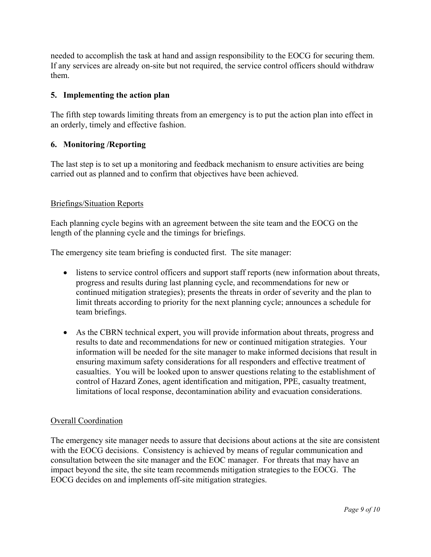needed to accomplish the task at hand and assign responsibility to the EOCG for securing them. If any services are already on-site but not required, the service control officers should withdraw them.

#### **5. Implementing the action plan**

The fifth step towards limiting threats from an emergency is to put the action plan into effect in an orderly, timely and effective fashion.

#### **6. Monitoring /Reporting**

The last step is to set up a monitoring and feedback mechanism to ensure activities are being carried out as planned and to confirm that objectives have been achieved.

#### Briefings/Situation Reports

Each planning cycle begins with an agreement between the site team and the EOCG on the length of the planning cycle and the timings for briefings.

The emergency site team briefing is conducted first. The site manager:

- listens to service control officers and support staff reports (new information about threats, progress and results during last planning cycle, and recommendations for new or continued mitigation strategies); presents the threats in order of severity and the plan to limit threats according to priority for the next planning cycle; announces a schedule for team briefings.
- As the CBRN technical expert, you will provide information about threats, progress and results to date and recommendations for new or continued mitigation strategies. Your information will be needed for the site manager to make informed decisions that result in ensuring maximum safety considerations for all responders and effective treatment of casualties. You will be looked upon to answer questions relating to the establishment of control of Hazard Zones, agent identification and mitigation, PPE, casualty treatment, limitations of local response, decontamination ability and evacuation considerations.

#### Overall Coordination

The emergency site manager needs to assure that decisions about actions at the site are consistent with the EOCG decisions. Consistency is achieved by means of regular communication and consultation between the site manager and the EOC manager. For threats that may have an impact beyond the site, the site team recommends mitigation strategies to the EOCG. The EOCG decides on and implements off-site mitigation strategies.